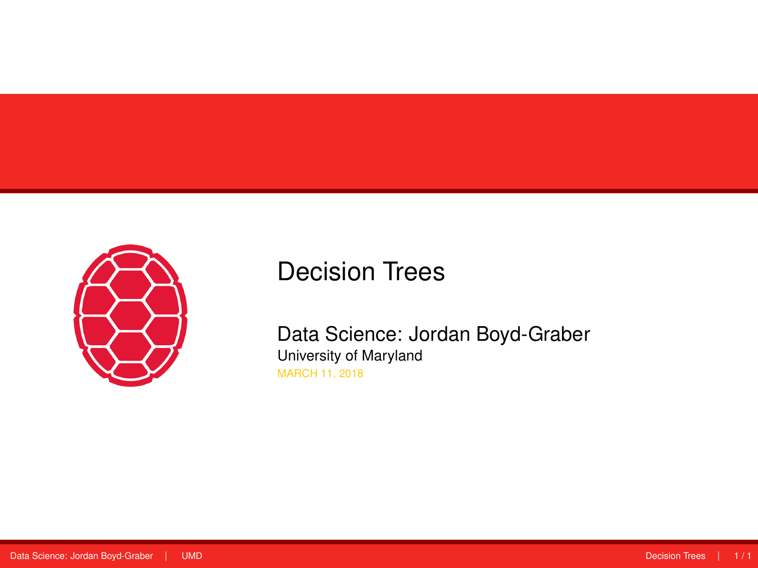<span id="page-0-0"></span>

# Decision Trees

Data Science: Jordan Boyd-Graber University of Maryland MARCH 11, 2018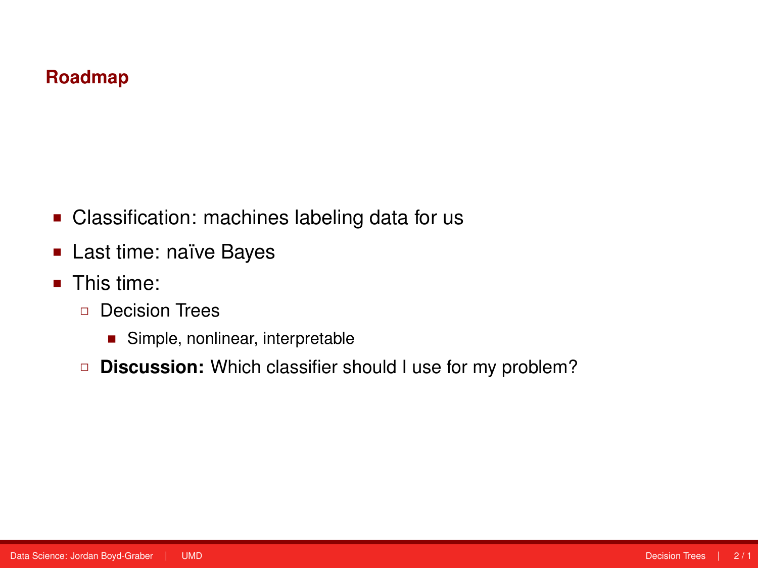### **Roadmap**

- Classification: machines labeling data for us
- **Last time: naïve Bayes**
- This time:
	- Decision Trees
		- Simple, nonlinear, interpretable
	- **Discussion:** Which classifier should I use for my problem?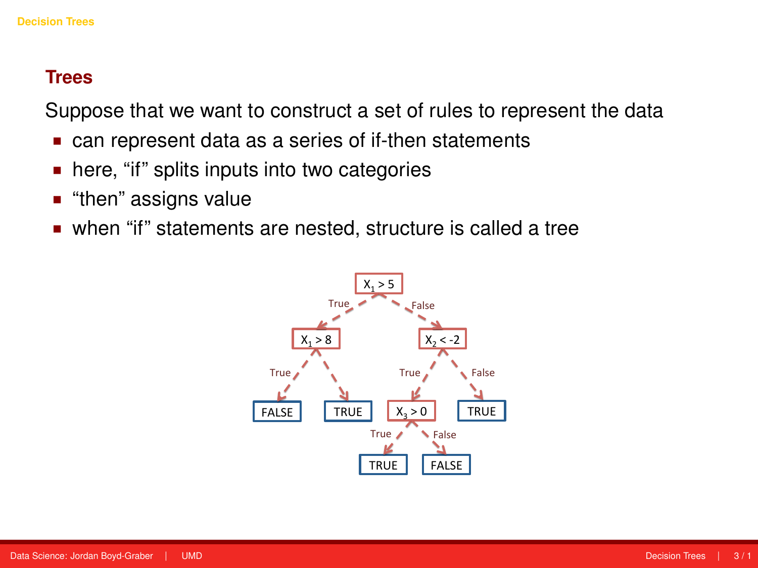<span id="page-2-0"></span>Suppose that we want to construct a set of rules to represent the data

- can represent data as a series of if-then statements
- here, "if" splits inputs into two categories
- "then" assigns value
- when "if" statements are nested, structure is called a tree

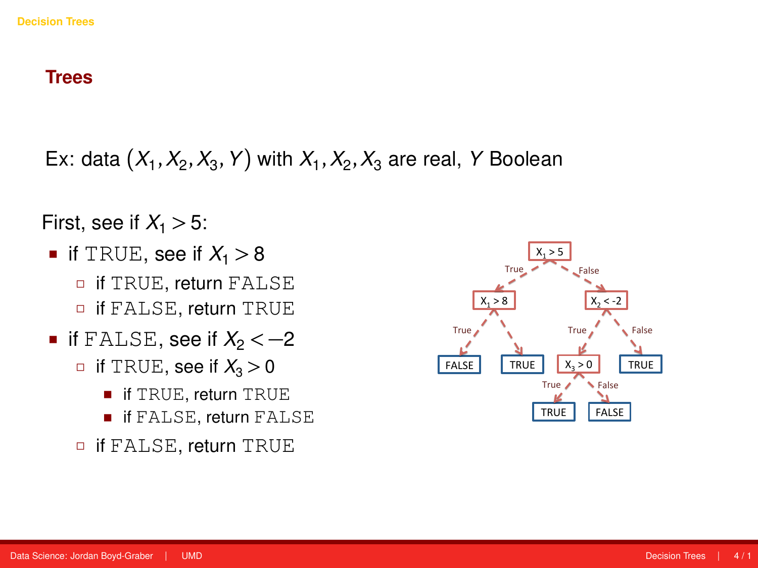Ex: data  $(X_1, X_2, X_3, Y)$  with  $X_1, X_2, X_3$  are real, *Y* Boolean

First, see if  $X_1 > 5$ :

- if TRUE, see if  $X_1 > 8$ 
	- **D** if TRUE, return FALSE if FALSE, return TRUE
- $\blacksquare$  if FALSE, see if  $X_2 < -2$ 
	- $\Box$  if TRUE, see if  $X_3 > 0$ 
		- if TRUE, return TRUE
		- if FALSE, return FALSE
	- if FALSE, return TRUE

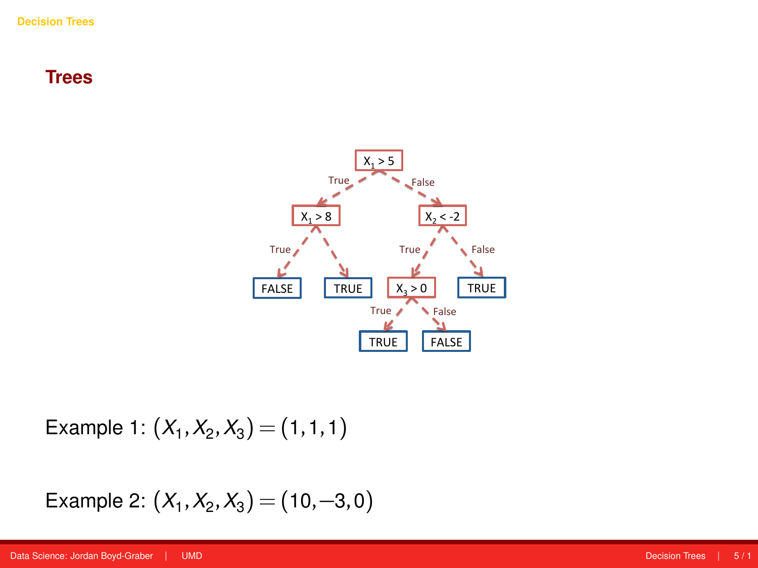

Example 1:  $(X_1, X_2, X_3) = (1, 1, 1)$ 

Example 2: 
$$
(X_1, X_2, X_3) = (10, -3, 0)
$$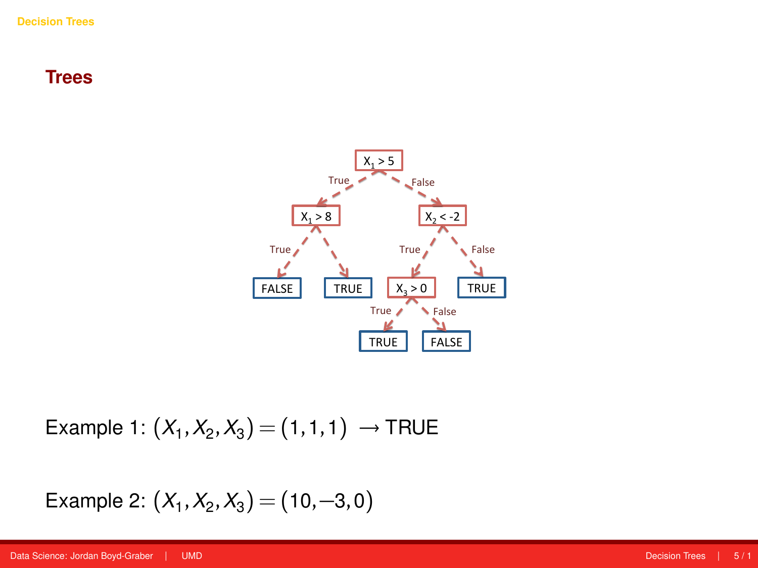

Example 1:  $(X_1, X_2, X_3) = (1, 1, 1) \rightarrow \text{TRUE}$ 

Example 2: 
$$
(X_1, X_2, X_3) = (10, -3, 0)
$$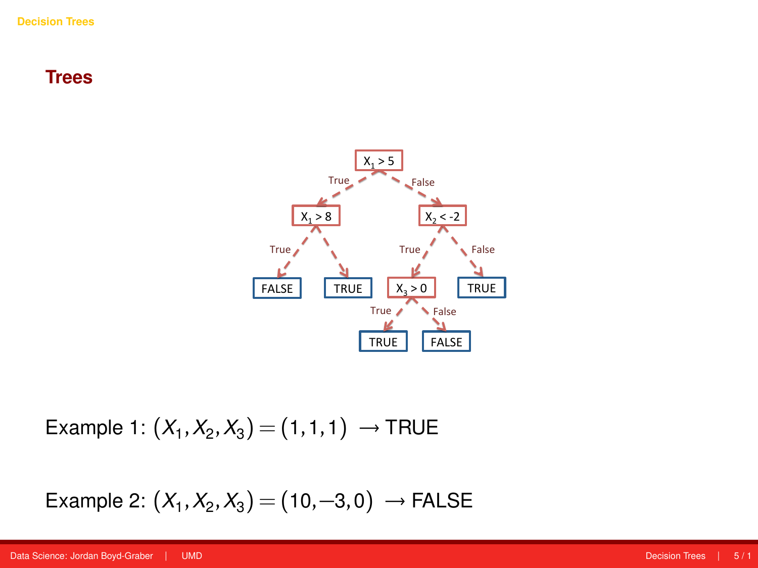

Example 1:  $(X_1, X_2, X_3) = (1, 1, 1) \rightarrow \text{TRUE}$ 

Example 2:  $(X_1, X_2, X_3) = (10, -3, 0) →$  FALSE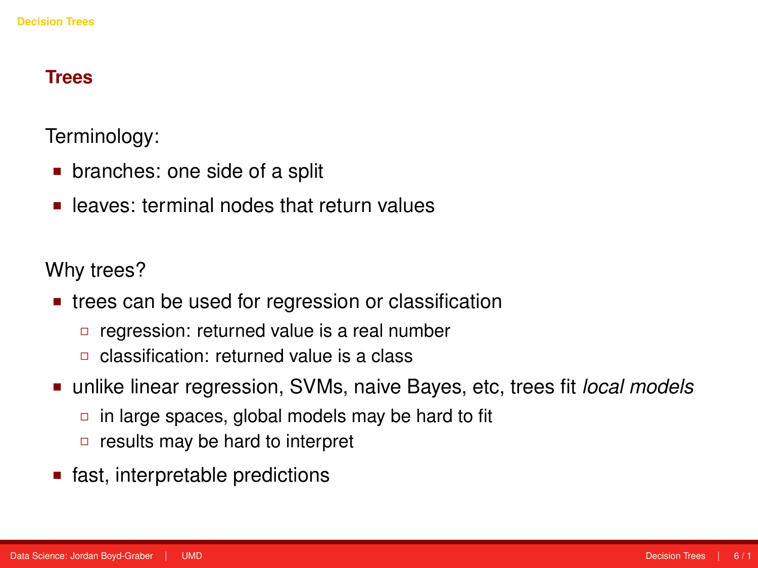Terminology:

- branches: one side of a split
- **EXEC** leaves: terminal nodes that return values

Why trees?

- **trees can be used for regression or classification** 
	- □ regression: returned value is a real number
	- classification: returned value is a class
- unlike linear regression, SVMs, naive Bayes, etc, trees fit *local models*
	- $\Box$  in large spaces, global models may be hard to fit
	- $\Box$  results may be hard to interpret
- fast, interpretable predictions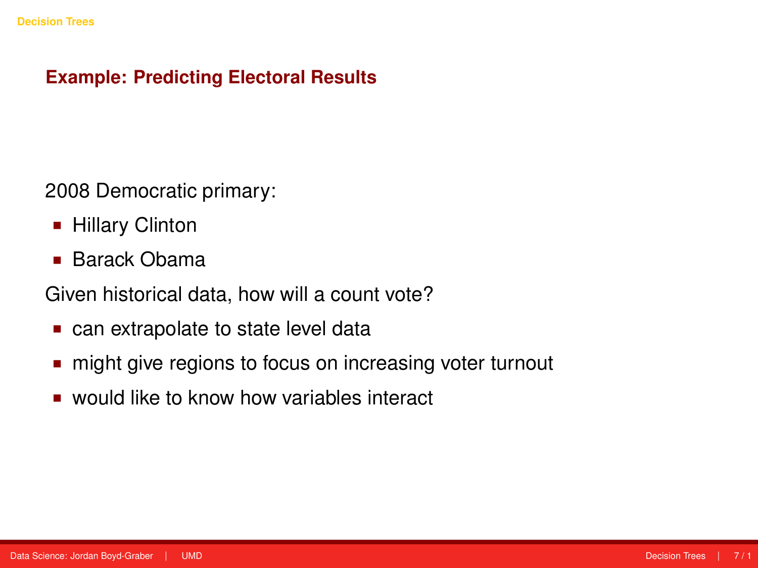# **Example: Predicting Electoral Results**

2008 Democratic primary:

- **Hillary Clinton**
- Barack Obama

Given historical data, how will a count vote?

- can extrapolate to state level data
- might give regions to focus on increasing voter turnout
- would like to know how variables interact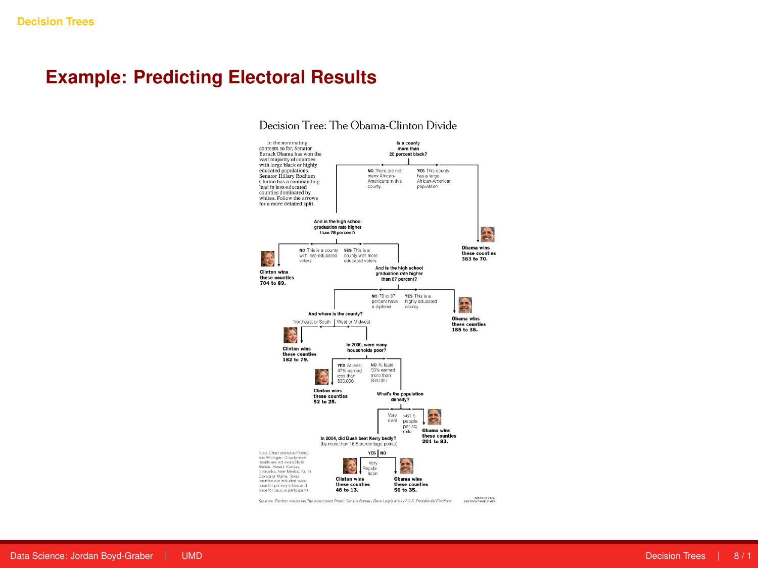# **Example: Predicting Electoral Results**





primary (as of April 16), by Amanada Cox for the New York Times.

3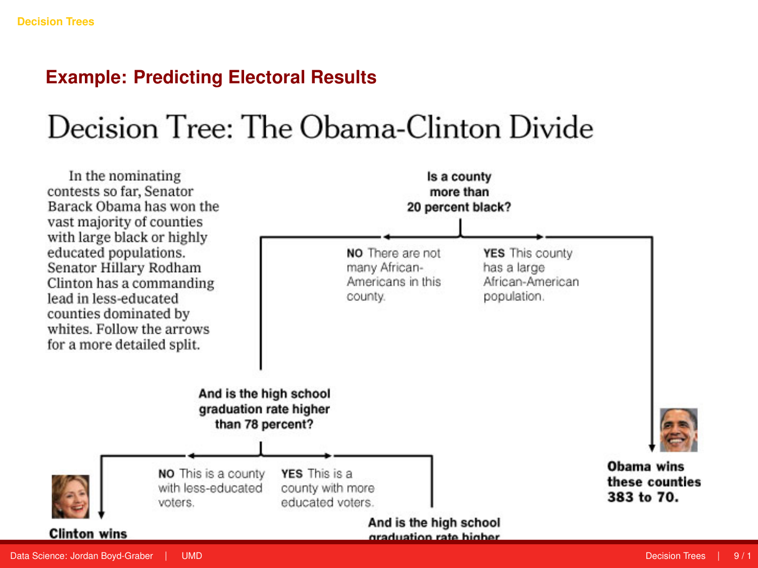### **Example: Predicting Electoral Results**

# Decision Tree: The Obama-Clinton Divide

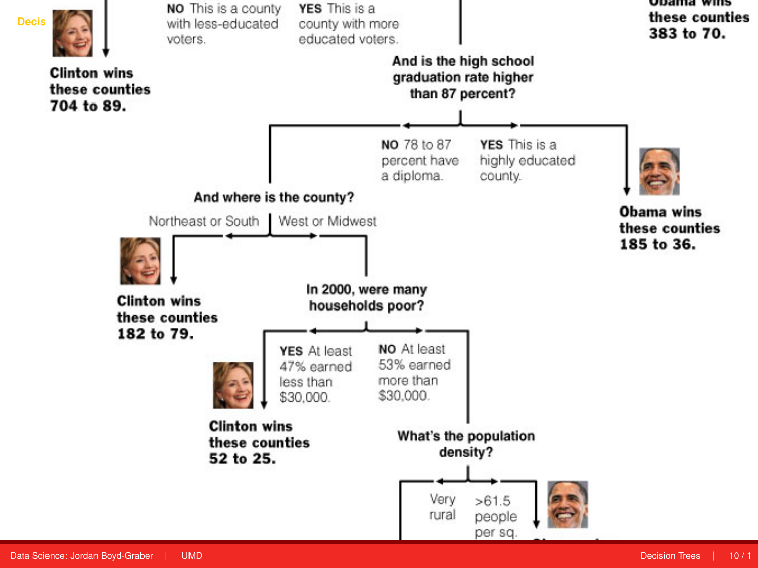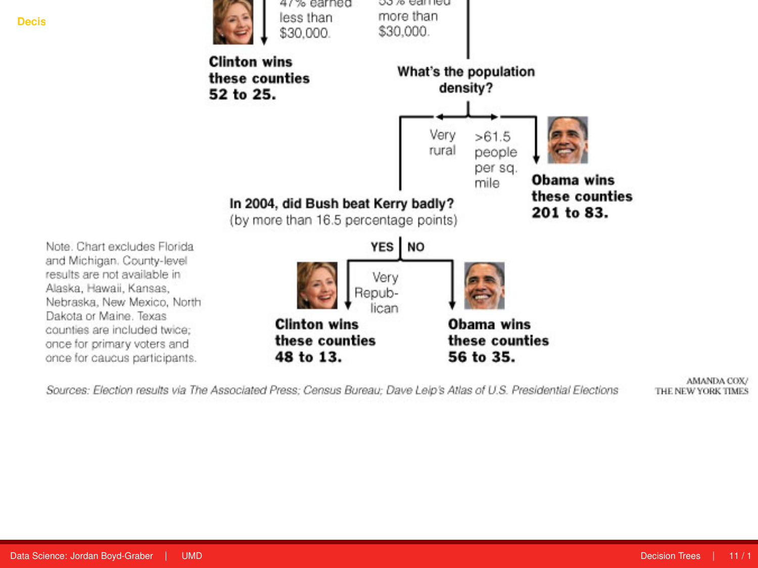

Sources: Election results via The Associated Press; Census Bureau; Dave Leip's Atlas of U.S. Presidential Elections

AMANDA COX/ THE NEW YORK TIMES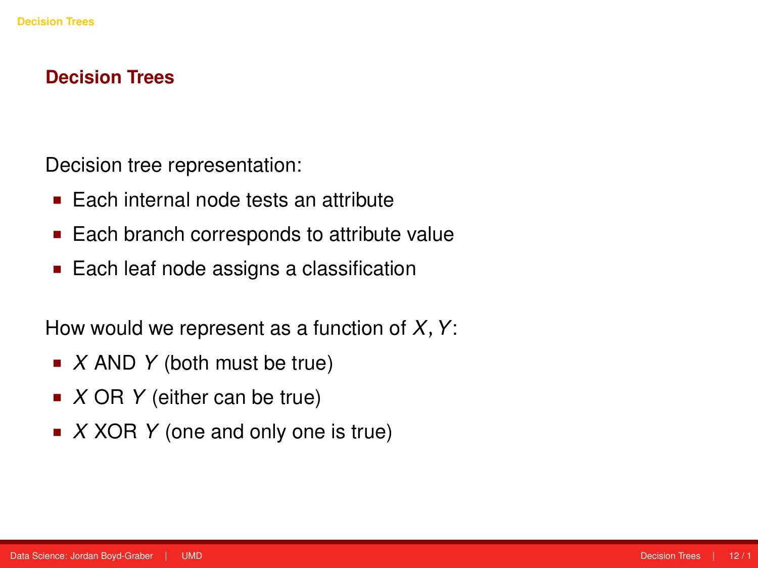### **Decision Trees**

Decision tree representation:

- Each internal node tests an attribute
- Each branch corresponds to attribute value
- Each leaf node assigns a classification

How would we represent as a function of *X*,*Y*:

- *X* AND *Y* (both must be true)
- *X* OR *Y* (either can be true)
- *X* XOR *Y* (one and only one is true)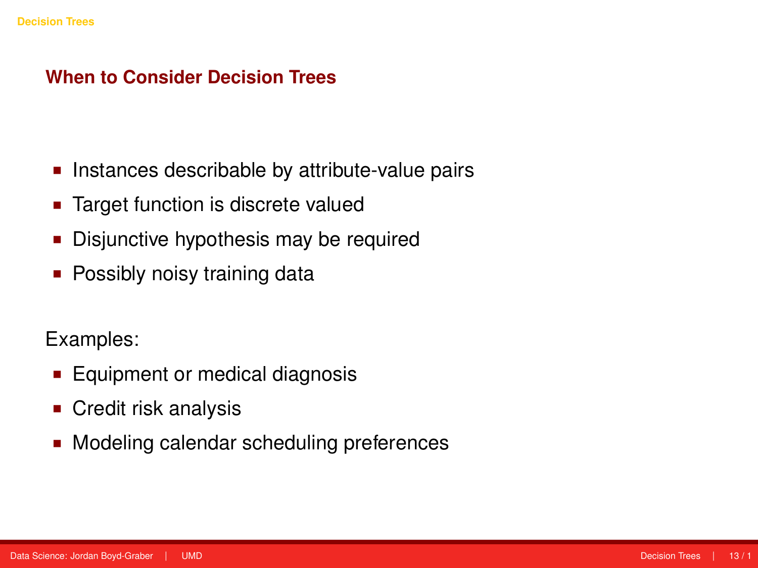### **When to Consider Decision Trees**

- **Instances describable by attribute-value pairs**
- **Target function is discrete valued**
- Disjunctive hypothesis may be required
- Possibly noisy training data

Examples:

- **Equipment or medical diagnosis**
- **Credit risk analysis**
- **Modeling calendar scheduling preferences**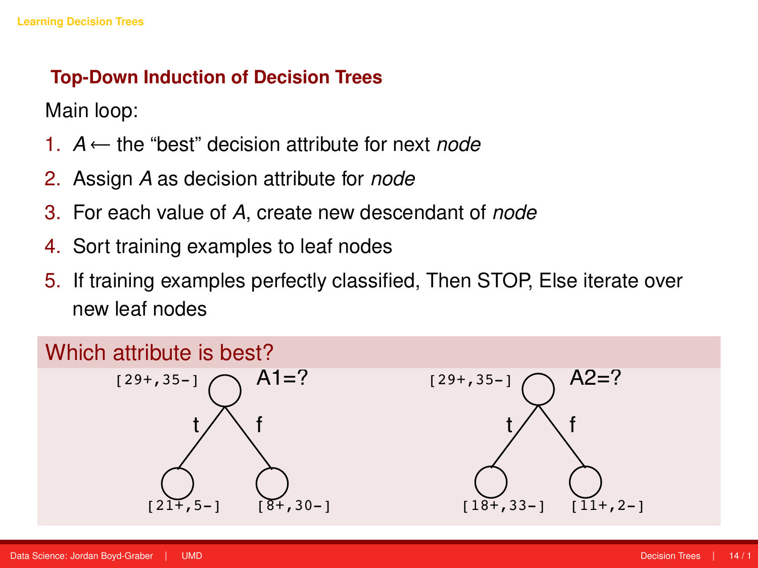# <span id="page-15-0"></span>**Top-Down Induction of Decision Trees**

Main loop:

- 1. *A* ← the "best" decision attribute for next *node*
- 2. Assign *A* as decision attribute for *node*
- 3. For each value of *A*, create new descendant of *node*
- 4. Sort training examples to leaf nodes
- 5. If training examples perfectly classified, Then STOP, Else iterate over new leaf nodes

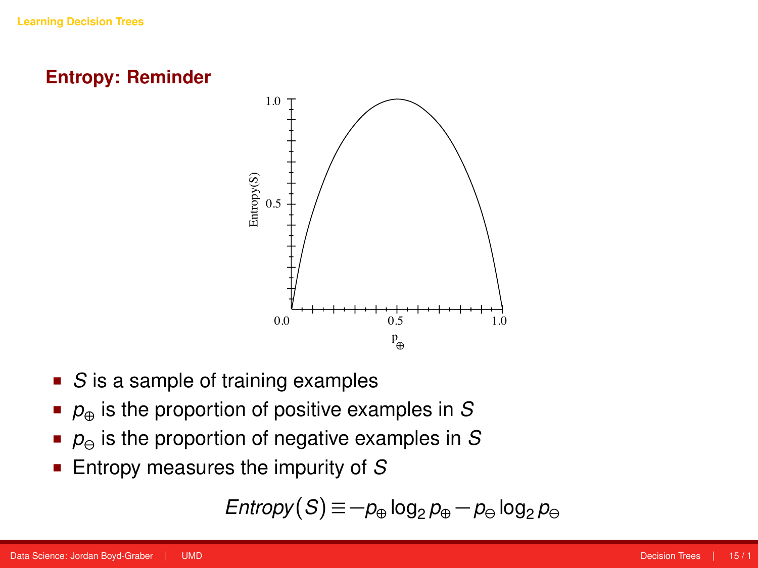



- **S** is a sample of training examples
- *p*⊕ is the proportion of positive examples in *S*
- $p_{\Theta}$  is the proportion of negative examples in *S*
- Entropy measures the impurity of *S*

$$
\mathsf{Entropy}(S) \equiv -p_{\oplus} \log_2 p_{\oplus} - p_{\ominus} \log_2 p_{\ominus}
$$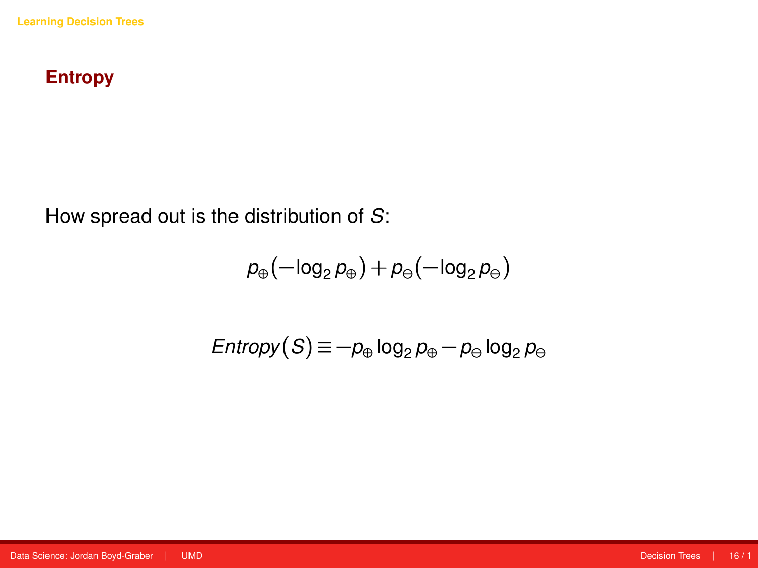# **Entropy**

How spread out is the distribution of *S*:

$$
\rho_\oplus(-\text{log}_2\rho_\oplus)+\rho_\ominus(-\text{log}_2\rho_\ominus)
$$

$$
\text{Entropy}(S) \equiv -p_{\oplus} \log_2 p_{\oplus} - p_{\ominus} \log_2 p_{\ominus}
$$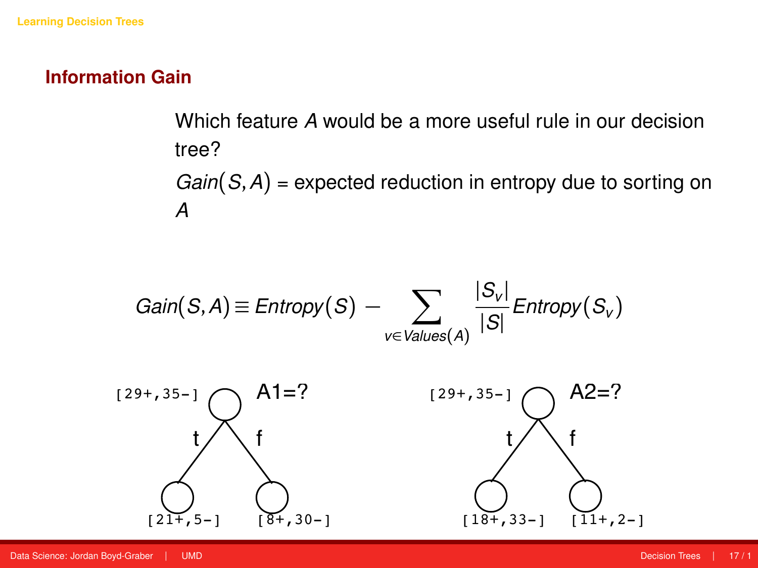### **Information Gain**

# Which feature *A* would be a more useful rule in our decision tree? *Gain*(*S*,*A*) = expected reduction in entropy due to sorting on *A*

$$
Gain(S, A) \equiv Entropy(S) - \sum_{v \in Values(A)} \frac{|S_v|}{|S|} Entropy(S_v)
$$



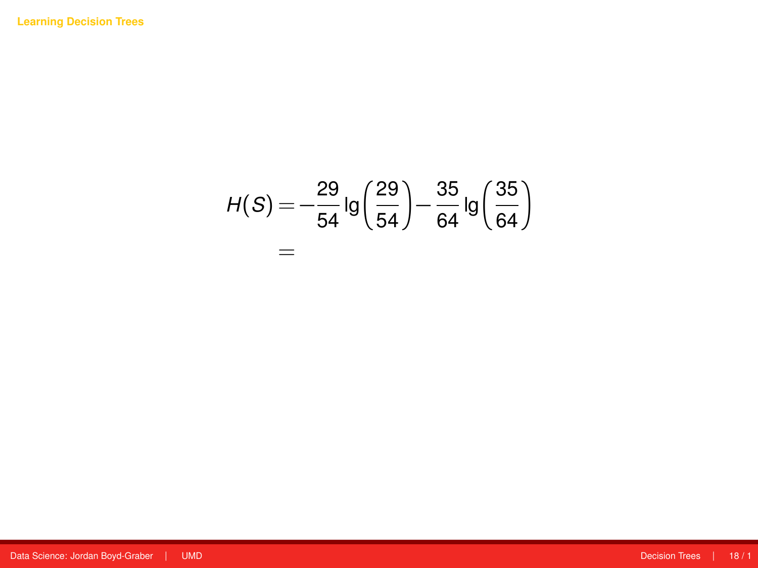$$
H(S) = -\frac{29}{54} \lg \left( \frac{29}{54} \right) - \frac{35}{64} \lg \left( \frac{35}{64} \right)
$$

$$
=
$$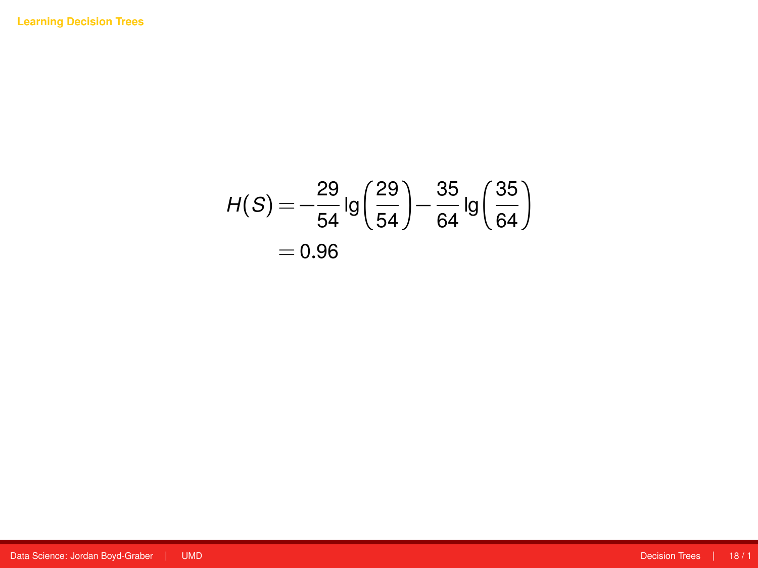$$
H(S) = -\frac{29}{54} \lg \left( \frac{29}{54} \right) - \frac{35}{64} \lg \left( \frac{35}{64} \right)
$$

$$
= 0.96
$$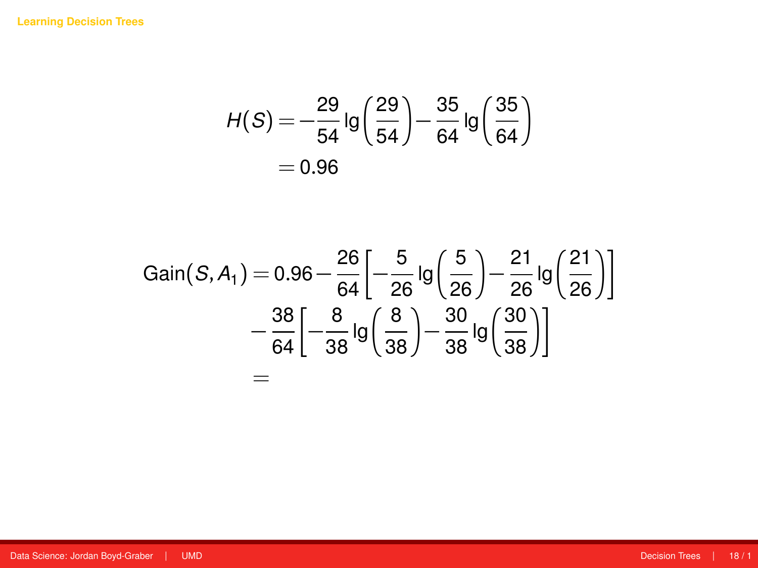$$
H(S) = -\frac{29}{54} \lg \left( \frac{29}{54} \right) - \frac{35}{64} \lg \left( \frac{35}{64} \right)
$$

$$
= 0.96
$$

$$
Gain(S, A_1) = 0.96 - \frac{26}{64} \left[ -\frac{5}{26} \lg \left( \frac{5}{26} \right) - \frac{21}{26} \lg \left( \frac{21}{26} \right) \right]
$$

$$
- \frac{38}{64} \left[ -\frac{8}{38} \lg \left( \frac{8}{38} \right) - \frac{30}{38} \lg \left( \frac{30}{38} \right) \right]
$$

$$
=
$$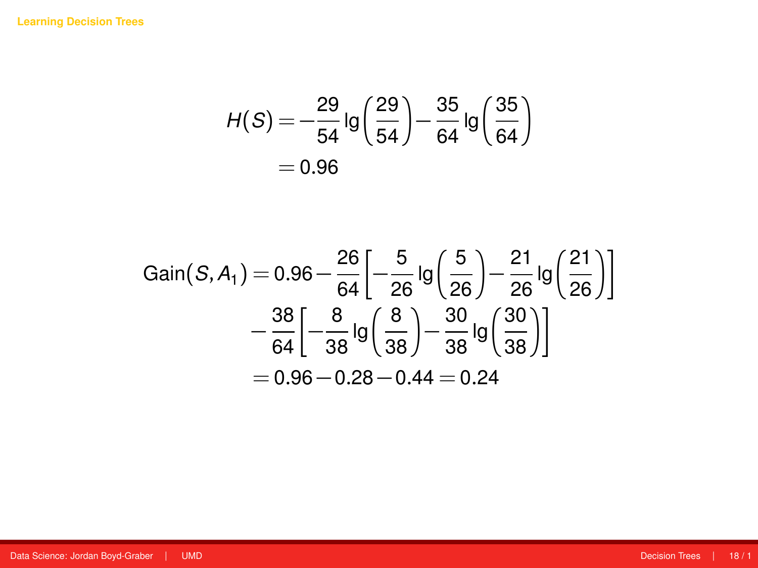$$
H(S) = -\frac{29}{54} \lg \left( \frac{29}{54} \right) - \frac{35}{64} \lg \left( \frac{35}{64} \right)
$$

$$
= 0.96
$$

$$
Gain(S, A_1) = 0.96 - \frac{26}{64} \left[ -\frac{5}{26} \lg \left( \frac{5}{26} \right) - \frac{21}{26} \lg \left( \frac{21}{26} \right) \right]
$$

$$
- \frac{38}{64} \left[ -\frac{8}{38} \lg \left( \frac{8}{38} \right) - \frac{30}{38} \lg \left( \frac{30}{38} \right) \right]
$$

$$
= 0.96 - 0.28 - 0.44 = 0.24
$$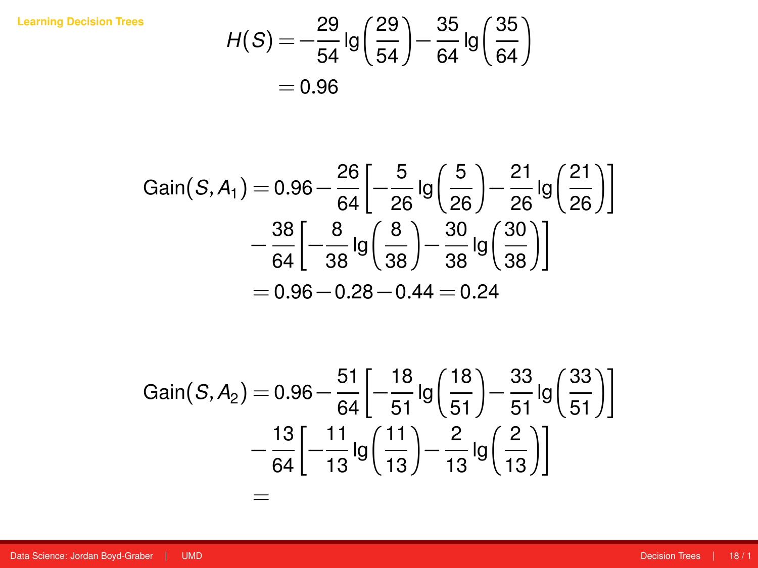**[Learning Decision Trees](#page-15-0)**

$$
H(S) = -\frac{29}{54} \lg \left( \frac{29}{54} \right) - \frac{35}{64} \lg \left( \frac{35}{64} \right)
$$

$$
= 0.96
$$

Gain(S, A<sub>1</sub>) = 0.96 - 
$$
\frac{26}{64}
$$
  $\left[ -\frac{5}{26} \lg \left( \frac{5}{26} \right) - \frac{21}{26} \lg \left( \frac{21}{26} \right) \right]$   
-  $\frac{38}{64} \left[ -\frac{8}{38} \lg \left( \frac{8}{38} \right) - \frac{30}{38} \lg \left( \frac{30}{38} \right) \right]$   
= 0.96 - 0.28 - 0.44 = 0.24

Gain(S, A<sub>2</sub>) = 0.96 - 
$$
\frac{51}{64} \left[ -\frac{18}{51} \lg \left( \frac{18}{51} \right) - \frac{33}{51} \lg \left( \frac{33}{51} \right) \right]
$$
  
-  $\frac{13}{64} \left[ -\frac{11}{13} \lg \left( \frac{11}{13} \right) - \frac{2}{13} \lg \left( \frac{2}{13} \right) \right]$   
=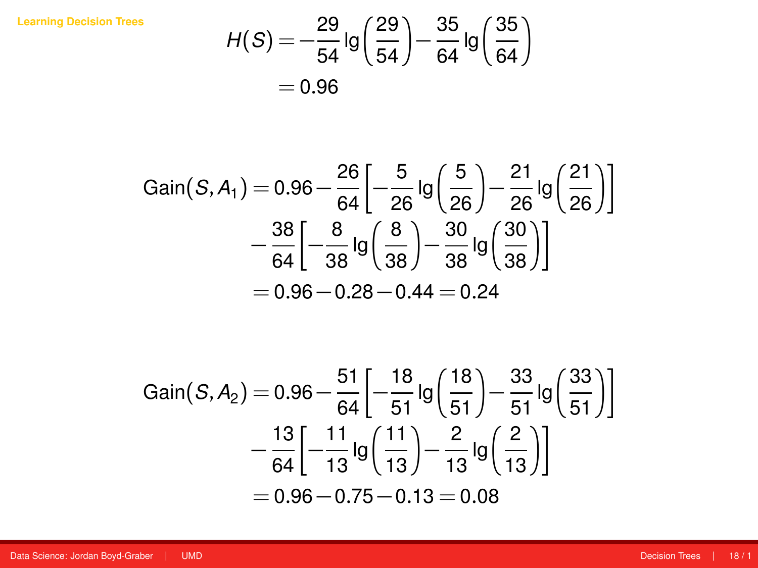**[Learning Decision Trees](#page-15-0)**

$$
H(S) = -\frac{29}{54} \lg \left( \frac{29}{54} \right) - \frac{35}{64} \lg \left( \frac{35}{64} \right)
$$

$$
= 0.96
$$

Gain(S, A<sub>1</sub>) = 0.96 - 
$$
\frac{26}{64}
$$
  $\left[ -\frac{5}{26} \lg \left( \frac{5}{26} \right) - \frac{21}{26} \lg \left( \frac{21}{26} \right) \right]$   
-  $\frac{38}{64} \left[ -\frac{8}{38} \lg \left( \frac{8}{38} \right) - \frac{30}{38} \lg \left( \frac{30}{38} \right) \right]$   
= 0.96 - 0.28 - 0.44 = 0.24

Gain(S, A<sub>2</sub>) = 0.96 - 
$$
\frac{51}{64} \left[ -\frac{18}{51} \lg \left( \frac{18}{51} \right) - \frac{33}{51} \lg \left( \frac{33}{51} \right) \right]
$$
  
-  $\frac{13}{64} \left[ -\frac{11}{13} \lg \left( \frac{11}{13} \right) - \frac{2}{13} \lg \left( \frac{2}{13} \right) \right]$   
= 0.96 - 0.75 - 0.13 = 0.08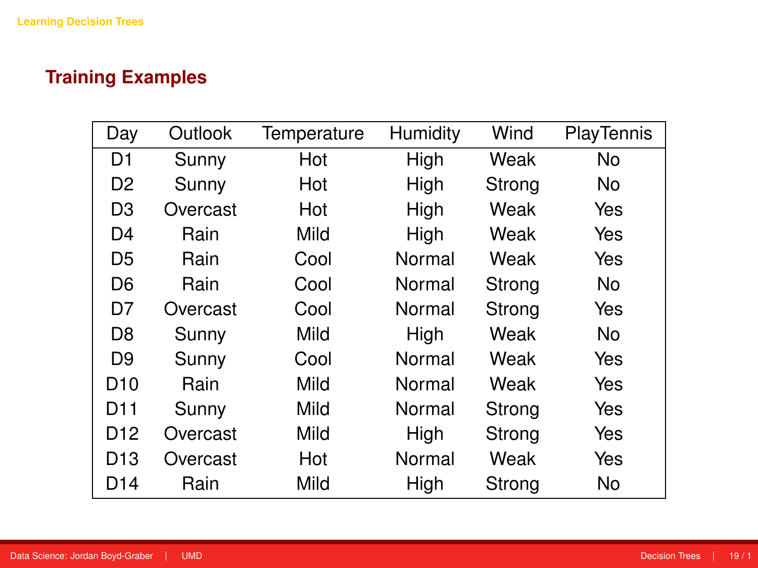# **Training Examples**

| Day             | Outlook  | Temperature | Humidity | Wind   | PlayTennis |
|-----------------|----------|-------------|----------|--------|------------|
| D1              | Sunny    | Hot         | High     | Weak   | No         |
| D2              | Sunny    | Hot         | High     | Strong | No.        |
| D3              | Overcast | Hot         | High     | Weak   | Yes        |
| D4              | Rain     | Mild        | High     | Weak   | Yes        |
| D5              | Rain     | Cool        | Normal   | Weak   | Yes        |
| D6              | Rain     | Cool        | Normal   | Strong | No         |
| D7              | Overcast | Cool        | Normal   | Strong | Yes        |
| D8              | Sunny    | Mild        | High     | Weak   | No         |
| D9              | Sunny    | Cool        | Normal   | Weak   | Yes        |
| D <sub>10</sub> | Rain     | Mild        | Normal   | Weak   | Yes        |
| D11             | Sunny    | Mild        | Normal   | Strong | Yes        |
| D12             | Overcast | Mild        | High     | Strong | Yes        |
| D13             | Overcast | Hot         | Normal   | Weak   | Yes        |
| D14             | Rain     | Mild        | High     | Strong | No         |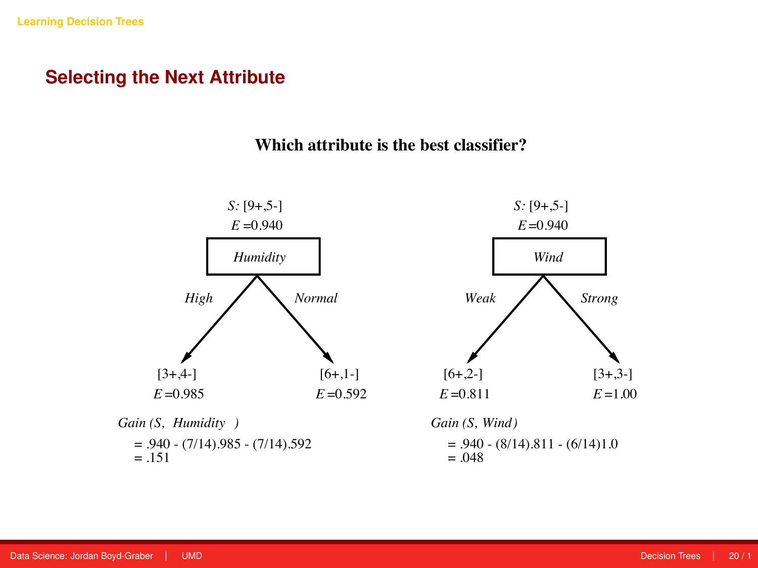#### **Selecting the Next Attribute**

#### **Which attribute is the best classifier?**

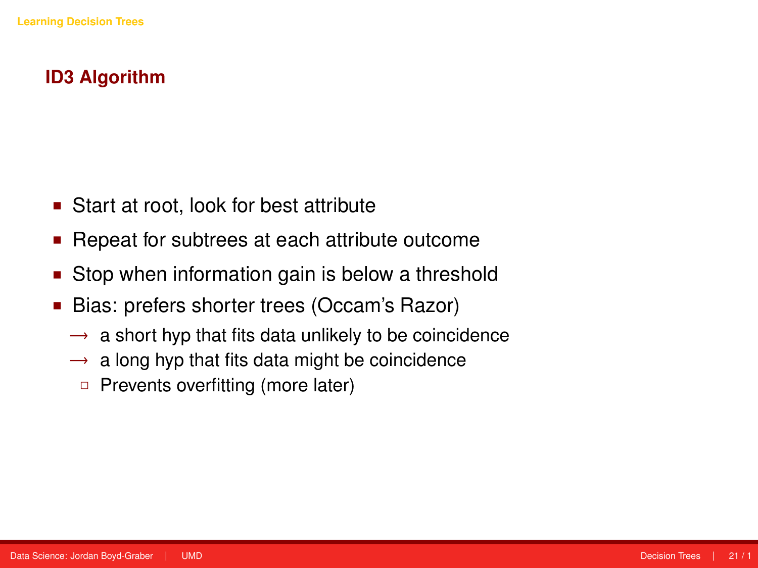# **ID3 Algorithm**

- Start at root, look for best attribute
- Repeat for subtrees at each attribute outcome
- Stop when information gain is below a threshold
- Bias: prefers shorter trees (Occam's Razor)
	- $\rightarrow$  a short hyp that fits data unlikely to be coincidence
	- $\rightarrow$  a long hyp that fits data might be coincidence
		- $\Box$  Prevents overfitting (more later)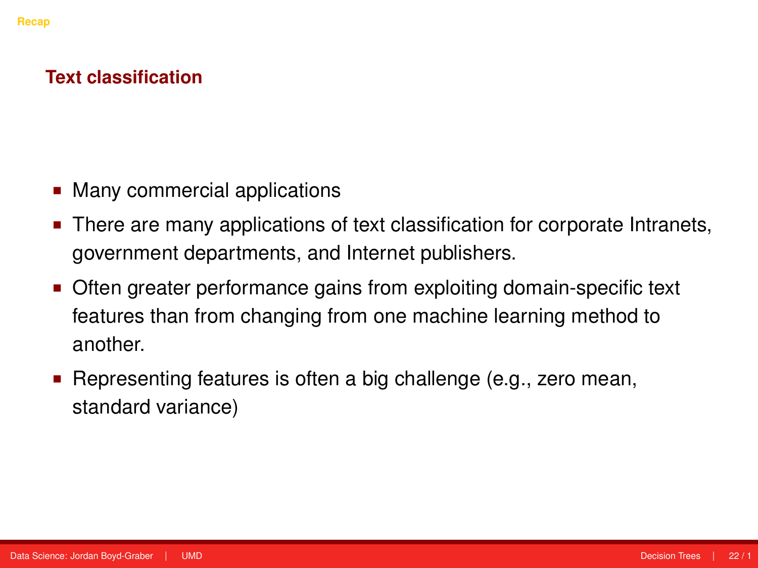### <span id="page-28-0"></span>**Text classification**

- Many commercial applications
- There are many applications of text classification for corporate Intranets, government departments, and Internet publishers.
- **Often greater performance gains from exploiting domain-specific text** features than from changing from one machine learning method to another.
- **Representing features is often a big challenge (e.g., zero mean,** standard variance)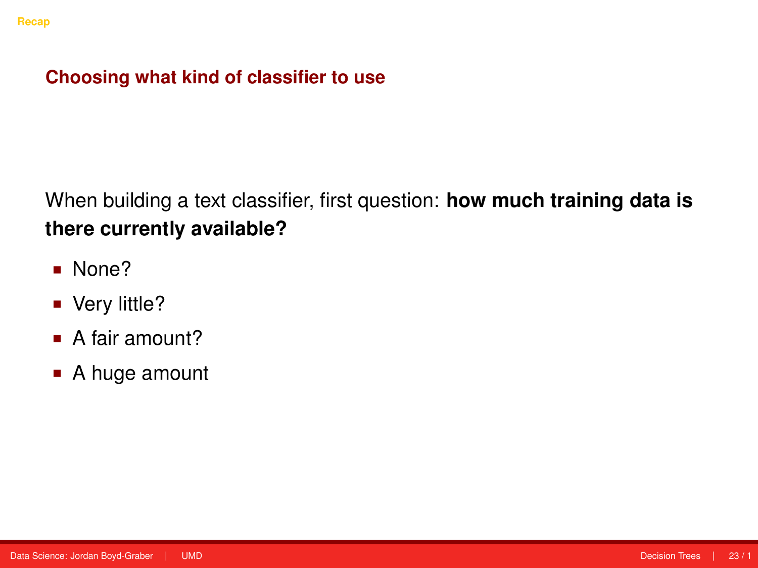- None?
- Very little?
- A fair amount?
- A huge amount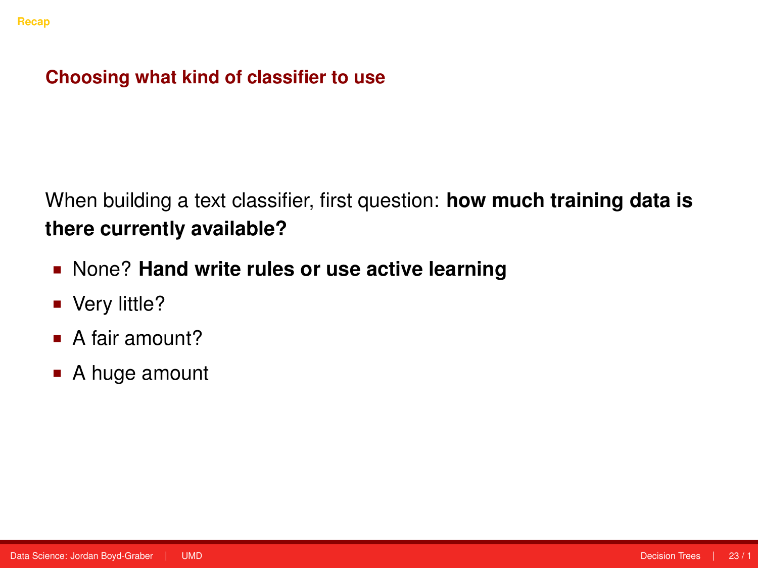- None? **Hand write rules or use active learning**
- Very little?
- A fair amount?
- A huge amount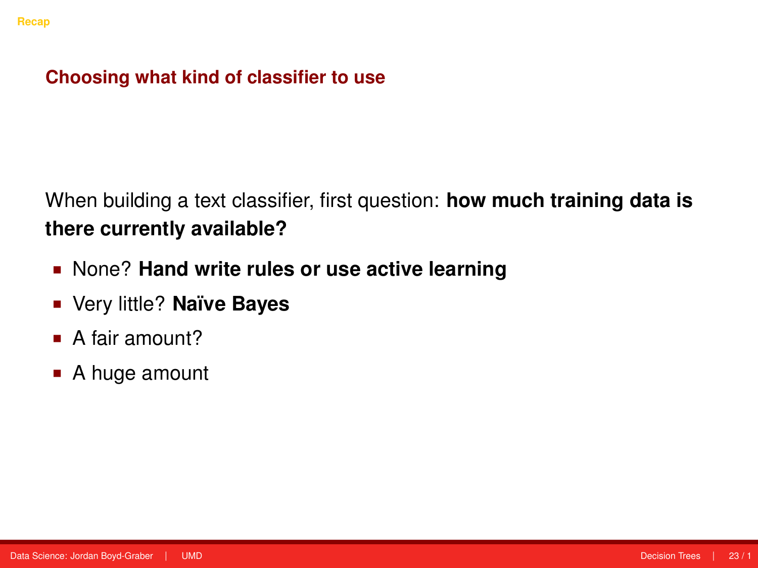- None? **Hand write rules or use active learning**
- Very little? **Naïve Bayes**
- A fair amount?
- A huge amount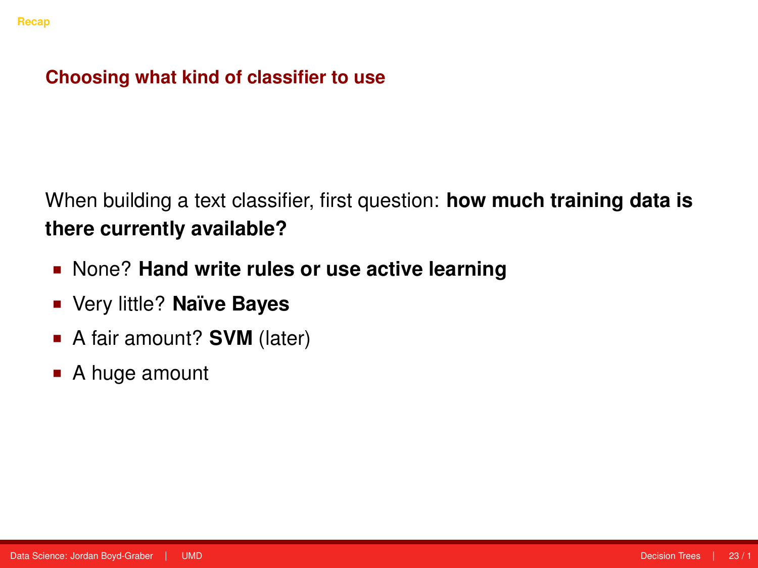- None? **Hand write rules or use active learning**
- Very little? **Naïve Bayes**
- A fair amount? **SVM** (later)
- A huge amount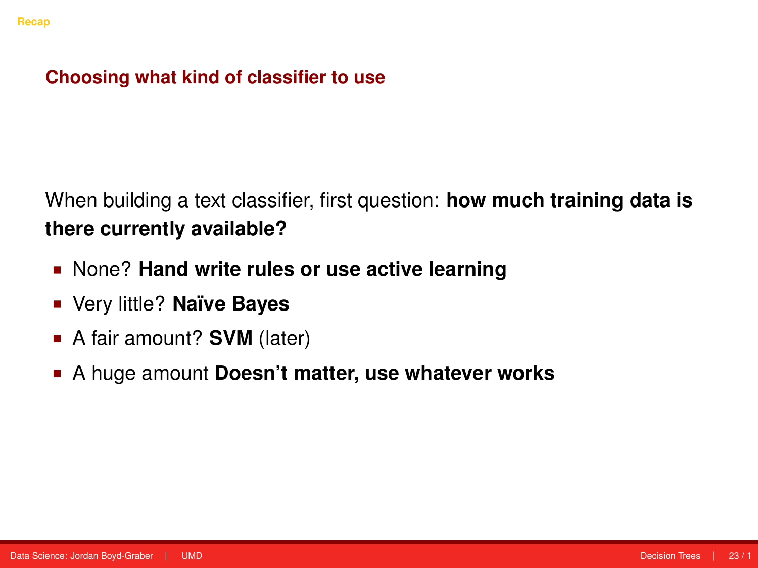- None? **Hand write rules or use active learning**
- Very little? **Naïve Bayes**
- A fair amount? **SVM** (later)
- A huge amount **Doesn't matter, use whatever works**